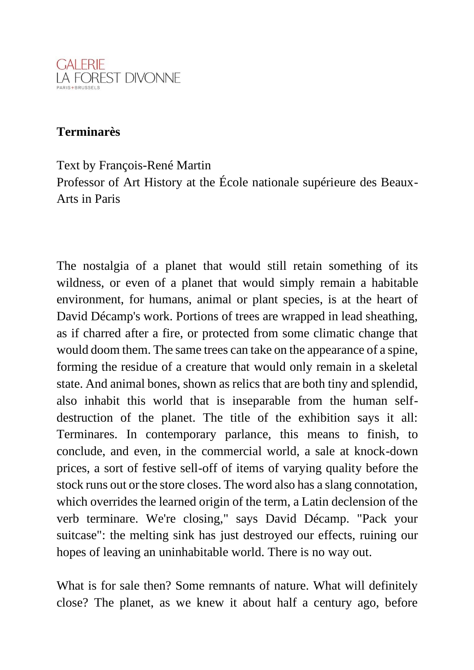

## **Terminarès**

Text by François-René Martin

Professor of Art History at the École nationale supérieure des Beaux-Arts in Paris

The nostalgia of a planet that would still retain something of its wildness, or even of a planet that would simply remain a habitable environment, for humans, animal or plant species, is at the heart of David Décamp's work. Portions of trees are wrapped in lead sheathing, as if charred after a fire, or protected from some climatic change that would doom them. The same trees can take on the appearance of a spine, forming the residue of a creature that would only remain in a skeletal state. And animal bones, shown as relics that are both tiny and splendid, also inhabit this world that is inseparable from the human selfdestruction of the planet. The title of the exhibition says it all: Terminares. In contemporary parlance, this means to finish, to conclude, and even, in the commercial world, a sale at knock-down prices, a sort of festive sell-off of items of varying quality before the stock runs out or the store closes. The word also has a slang connotation, which overrides the learned origin of the term, a Latin declension of the verb terminare. We're closing," says David Décamp. "Pack your suitcase": the melting sink has just destroyed our effects, ruining our hopes of leaving an uninhabitable world. There is no way out.

What is for sale then? Some remnants of nature. What will definitely close? The planet, as we knew it about half a century ago, before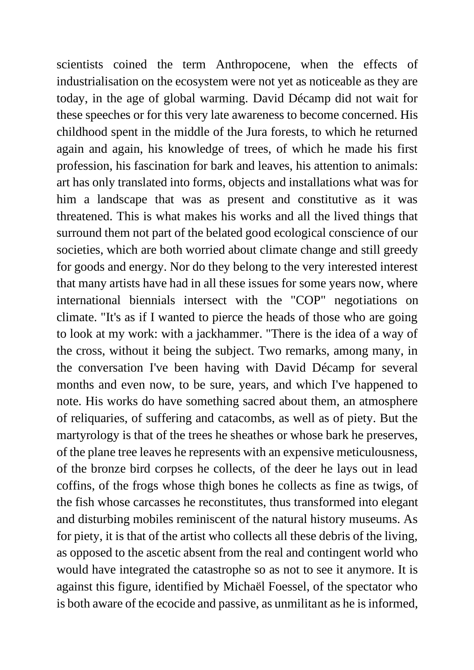scientists coined the term Anthropocene, when the effects of industrialisation on the ecosystem were not yet as noticeable as they are today, in the age of global warming. David Décamp did not wait for these speeches or for this very late awareness to become concerned. His childhood spent in the middle of the Jura forests, to which he returned again and again, his knowledge of trees, of which he made his first profession, his fascination for bark and leaves, his attention to animals: art has only translated into forms, objects and installations what was for him a landscape that was as present and constitutive as it was threatened. This is what makes his works and all the lived things that surround them not part of the belated good ecological conscience of our societies, which are both worried about climate change and still greedy for goods and energy. Nor do they belong to the very interested interest that many artists have had in all these issues for some years now, where international biennials intersect with the "COP" negotiations on climate. "It's as if I wanted to pierce the heads of those who are going to look at my work: with a jackhammer. "There is the idea of a way of the cross, without it being the subject. Two remarks, among many, in the conversation I've been having with David Décamp for several months and even now, to be sure, years, and which I've happened to note. His works do have something sacred about them, an atmosphere of reliquaries, of suffering and catacombs, as well as of piety. But the martyrology is that of the trees he sheathes or whose bark he preserves, of the plane tree leaves he represents with an expensive meticulousness, of the bronze bird corpses he collects, of the deer he lays out in lead coffins, of the frogs whose thigh bones he collects as fine as twigs, of the fish whose carcasses he reconstitutes, thus transformed into elegant and disturbing mobiles reminiscent of the natural history museums. As for piety, it is that of the artist who collects all these debris of the living, as opposed to the ascetic absent from the real and contingent world who would have integrated the catastrophe so as not to see it anymore. It is against this figure, identified by Michaël Foessel, of the spectator who is both aware of the ecocide and passive, as unmilitant as he is informed,